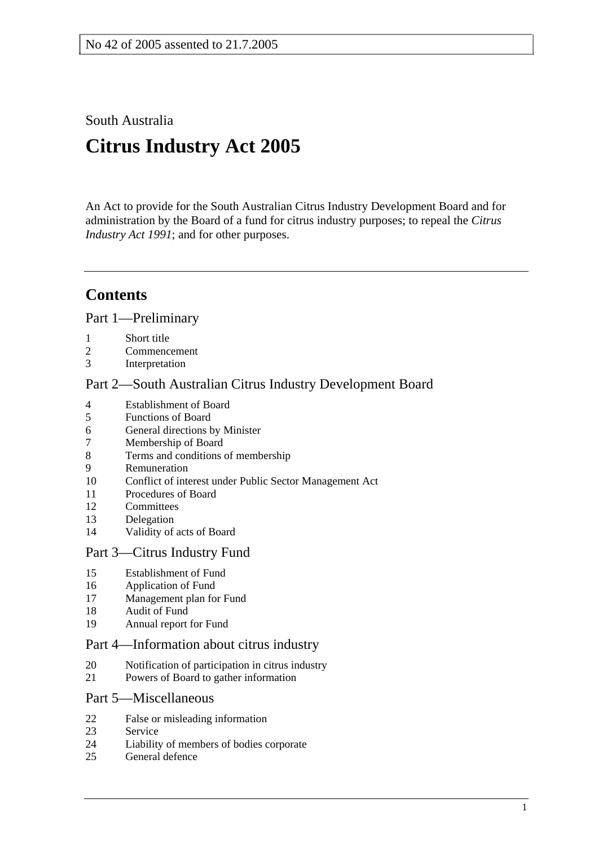South Australia

# **Citrus Industry Act 2005**

An Act to provide for the South Australian Citrus Industry Development Board and for administration by the Board of a fund for citrus industry purposes; to repeal the *Citrus Industry Act 1991*; and for other purposes.

## **Contents**

Part 1—Preliminary

- 1 Short title
- 2 Commencement
- 3 Interpretation

## Part 2—South Australian Citrus Industry Development Board

- 4 Establishment of Board<br>5 Functions of Board
- 5 Functions of Board
- 6 General directions by Minister
- 7 Membership of Board
- 8 Terms and conditions of membership
- 9 Remuneration
- 10 Conflict of interest under Public Sector Management Act
- 11 Procedures of Board
- 12 Committees
- 13 Delegation
- 14 Validity of acts of Board

## Part 3—Citrus Industry Fund

- 15 Establishment of Fund
- 16 Application of Fund
- 17 Management plan for Fund
- 18 Audit of Fund
- 19 Annual report for Fund

## Part 4—Information about citrus industry

- 20 Notification of participation in citrus industry
- 21 Powers of Board to gather information

## Part 5—Miscellaneous

- 22 False or misleading information
- 23 Service
- 24 Liability of members of bodies corporate
- 25 General defence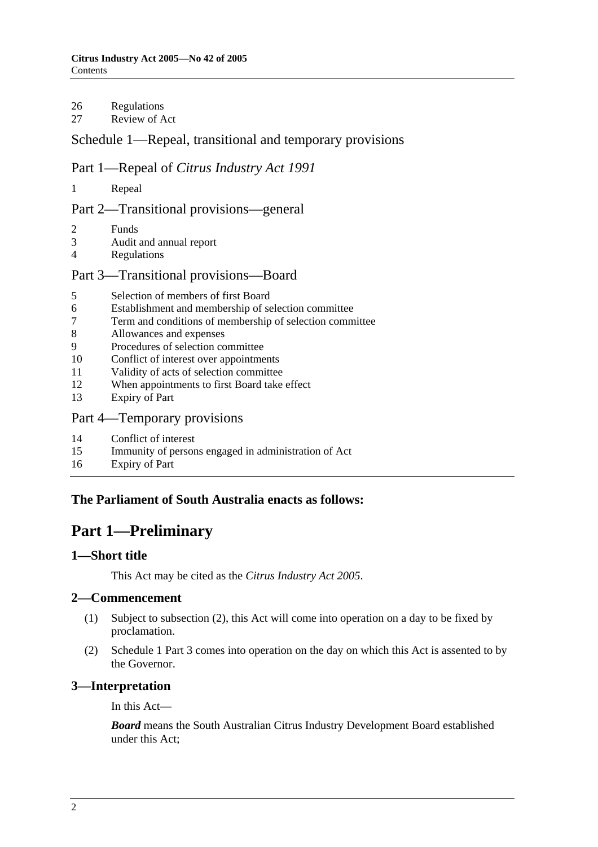## 26 Regulations

27 Review of Act

## Schedule 1—Repeal, transitional and temporary provisions

## Part 1—Repeal of *Citrus Industry Act 1991*

1 Repeal

## Part 2—Transitional provisions—general

- 2 Funds
- 3 Audit and annual report
- 4 Regulations

## Part 3—Transitional provisions—Board

- 5 Selection of members of first Board
- 6 Establishment and membership of selection committee
- 7 Term and conditions of membership of selection committee
- 8 Allowances and expenses
- 9 Procedures of selection committee
- 10 Conflict of interest over appointments
- 11 Validity of acts of selection committee
- 12 When appointments to first Board take effect
- 13 Expiry of Part
- Part 4—Temporary provisions
- 14 Conflict of interest
- 15 Immunity of persons engaged in administration of Act
- 16 Expiry of Part

## **The Parliament of South Australia enacts as follows:**

## **Part 1—Preliminary**

## **1—Short title**

This Act may be cited as the *Citrus Industry Act 2005*.

## **2—Commencement**

- (1) Subject to subsection (2), this Act will come into operation on a day to be fixed by proclamation.
- (2) Schedule 1 Part 3 comes into operation on the day on which this Act is assented to by the Governor.

## **3—Interpretation**

In this Act—

*Board* means the South Australian Citrus Industry Development Board established under this Act;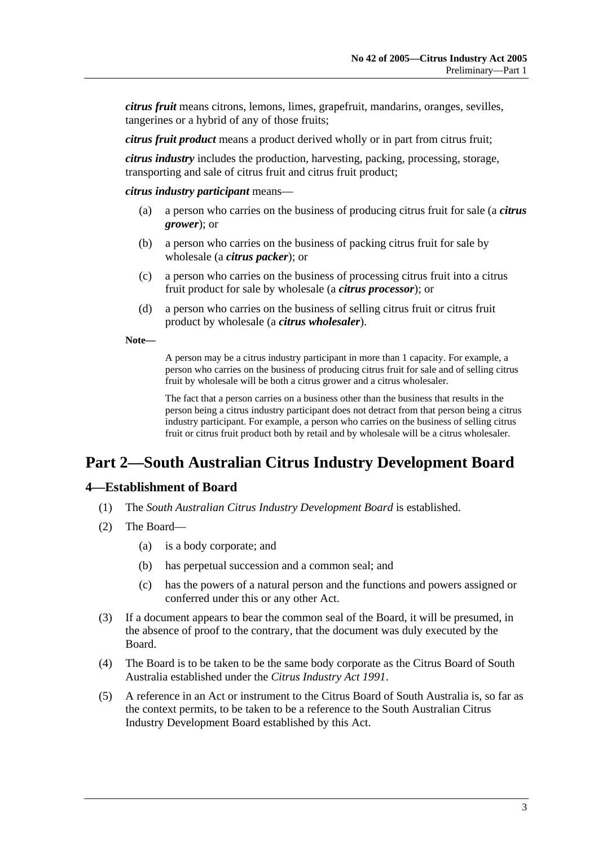*citrus fruit* means citrons, lemons, limes, grapefruit, mandarins, oranges, sevilles, tangerines or a hybrid of any of those fruits;

*citrus fruit product* means a product derived wholly or in part from citrus fruit;

*citrus industry* includes the production, harvesting, packing, processing, storage, transporting and sale of citrus fruit and citrus fruit product;

*citrus industry participant* means—

- (a) a person who carries on the business of producing citrus fruit for sale (a *citrus grower*); or
- (b) a person who carries on the business of packing citrus fruit for sale by wholesale (a *citrus packer*); or
- (c) a person who carries on the business of processing citrus fruit into a citrus fruit product for sale by wholesale (a *citrus processor*); or
- (d) a person who carries on the business of selling citrus fruit or citrus fruit product by wholesale (a *citrus wholesaler*).

**Note—** 

A person may be a citrus industry participant in more than 1 capacity. For example, a person who carries on the business of producing citrus fruit for sale and of selling citrus fruit by wholesale will be both a citrus grower and a citrus wholesaler.

The fact that a person carries on a business other than the business that results in the person being a citrus industry participant does not detract from that person being a citrus industry participant. For example, a person who carries on the business of selling citrus fruit or citrus fruit product both by retail and by wholesale will be a citrus wholesaler.

## **Part 2—South Australian Citrus Industry Development Board**

#### **4—Establishment of Board**

- (1) The *South Australian Citrus Industry Development Board* is established.
- (2) The Board—
	- (a) is a body corporate; and
	- (b) has perpetual succession and a common seal; and
	- (c) has the powers of a natural person and the functions and powers assigned or conferred under this or any other Act.
- (3) If a document appears to bear the common seal of the Board, it will be presumed, in the absence of proof to the contrary, that the document was duly executed by the Board.
- (4) The Board is to be taken to be the same body corporate as the Citrus Board of South Australia established under the *Citrus Industry Act 1991*.
- (5) A reference in an Act or instrument to the Citrus Board of South Australia is, so far as the context permits, to be taken to be a reference to the South Australian Citrus Industry Development Board established by this Act.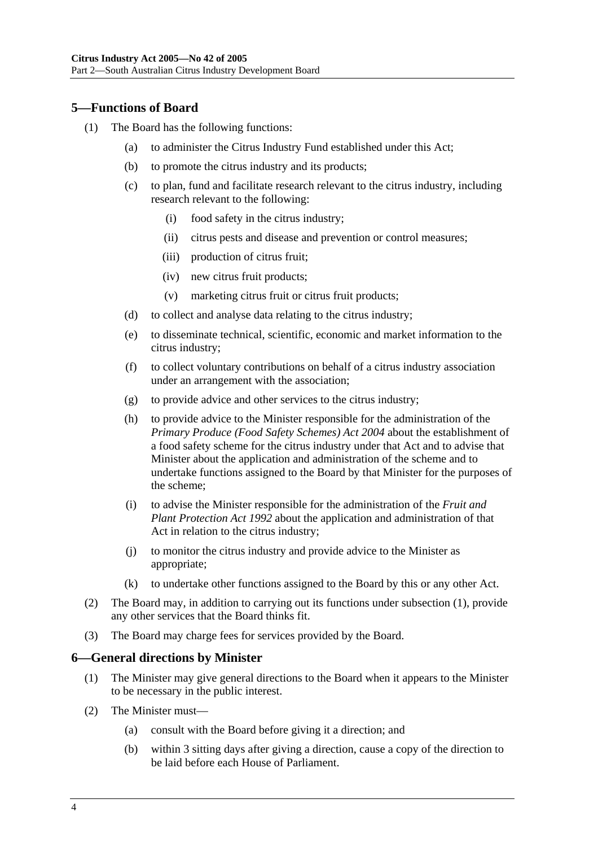## **5—Functions of Board**

- (1) The Board has the following functions:
	- (a) to administer the Citrus Industry Fund established under this Act;
	- (b) to promote the citrus industry and its products;
	- (c) to plan, fund and facilitate research relevant to the citrus industry, including research relevant to the following:
		- (i) food safety in the citrus industry;
		- (ii) citrus pests and disease and prevention or control measures;
		- (iii) production of citrus fruit;
		- (iv) new citrus fruit products;
		- (v) marketing citrus fruit or citrus fruit products;
	- (d) to collect and analyse data relating to the citrus industry;
	- (e) to disseminate technical, scientific, economic and market information to the citrus industry;
	- (f) to collect voluntary contributions on behalf of a citrus industry association under an arrangement with the association;
	- (g) to provide advice and other services to the citrus industry;
	- (h) to provide advice to the Minister responsible for the administration of the *Primary Produce (Food Safety Schemes) Act 2004* about the establishment of a food safety scheme for the citrus industry under that Act and to advise that Minister about the application and administration of the scheme and to undertake functions assigned to the Board by that Minister for the purposes of the scheme;
	- (i) to advise the Minister responsible for the administration of the *Fruit and Plant Protection Act 1992* about the application and administration of that Act in relation to the citrus industry;
	- (j) to monitor the citrus industry and provide advice to the Minister as appropriate;
	- (k) to undertake other functions assigned to the Board by this or any other Act.
- (2) The Board may, in addition to carrying out its functions under subsection (1), provide any other services that the Board thinks fit.
- (3) The Board may charge fees for services provided by the Board.

#### **6—General directions by Minister**

- (1) The Minister may give general directions to the Board when it appears to the Minister to be necessary in the public interest.
- (2) The Minister must—
	- (a) consult with the Board before giving it a direction; and
	- (b) within 3 sitting days after giving a direction, cause a copy of the direction to be laid before each House of Parliament.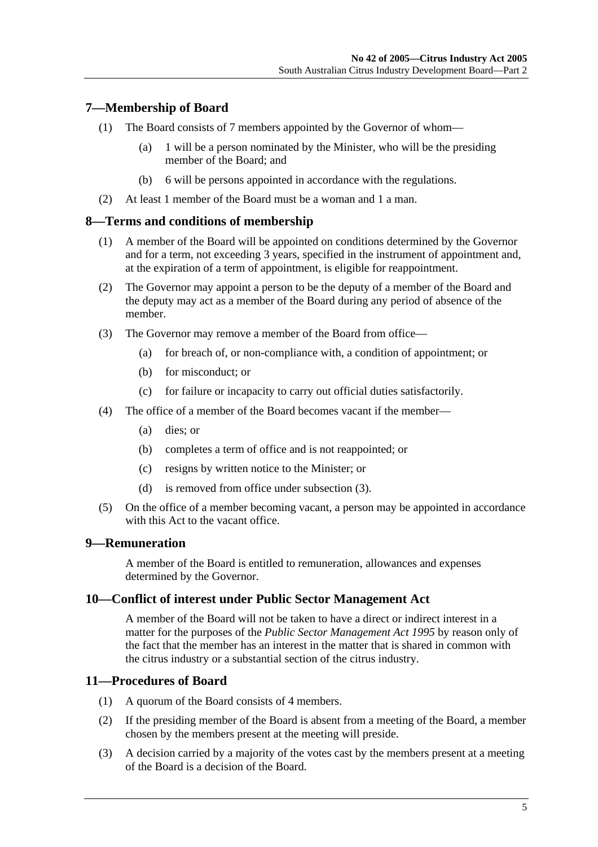## **7—Membership of Board**

- (1) The Board consists of 7 members appointed by the Governor of whom—
	- (a) 1 will be a person nominated by the Minister, who will be the presiding member of the Board; and
	- (b) 6 will be persons appointed in accordance with the regulations.
- (2) At least 1 member of the Board must be a woman and 1 a man.

## **8—Terms and conditions of membership**

- (1) A member of the Board will be appointed on conditions determined by the Governor and for a term, not exceeding 3 years, specified in the instrument of appointment and, at the expiration of a term of appointment, is eligible for reappointment.
- (2) The Governor may appoint a person to be the deputy of a member of the Board and the deputy may act as a member of the Board during any period of absence of the member.
- (3) The Governor may remove a member of the Board from office—
	- (a) for breach of, or non-compliance with, a condition of appointment; or
	- (b) for misconduct; or
	- (c) for failure or incapacity to carry out official duties satisfactorily.
- (4) The office of a member of the Board becomes vacant if the member—
	- (a) dies; or
	- (b) completes a term of office and is not reappointed; or
	- (c) resigns by written notice to the Minister; or
	- (d) is removed from office under subsection (3).
- (5) On the office of a member becoming vacant, a person may be appointed in accordance with this Act to the vacant office.

#### **9—Remuneration**

A member of the Board is entitled to remuneration, allowances and expenses determined by the Governor.

#### **10—Conflict of interest under Public Sector Management Act**

A member of the Board will not be taken to have a direct or indirect interest in a matter for the purposes of the *Public Sector Management Act 1995* by reason only of the fact that the member has an interest in the matter that is shared in common with the citrus industry or a substantial section of the citrus industry.

#### **11—Procedures of Board**

- (1) A quorum of the Board consists of 4 members.
- (2) If the presiding member of the Board is absent from a meeting of the Board, a member chosen by the members present at the meeting will preside.
- (3) A decision carried by a majority of the votes cast by the members present at a meeting of the Board is a decision of the Board.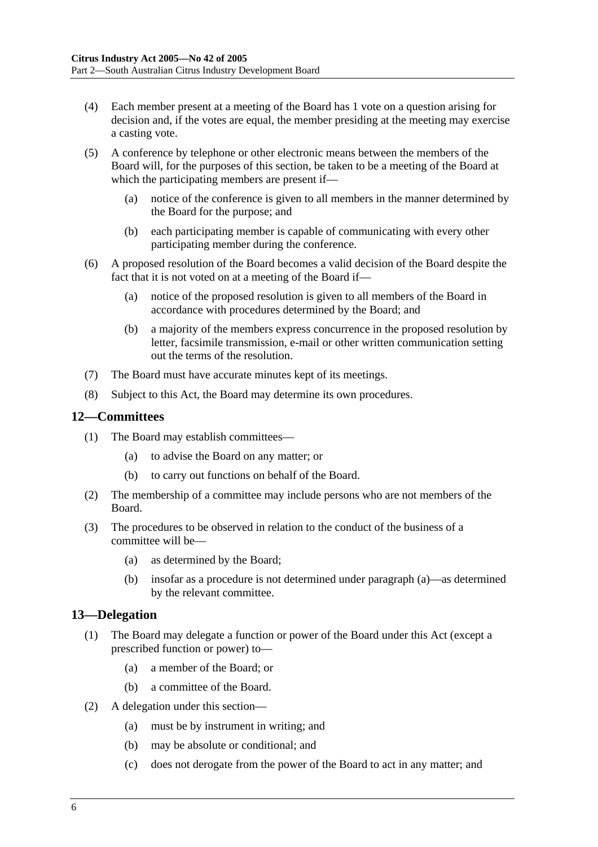- (4) Each member present at a meeting of the Board has 1 vote on a question arising for decision and, if the votes are equal, the member presiding at the meeting may exercise a casting vote.
- (5) A conference by telephone or other electronic means between the members of the Board will, for the purposes of this section, be taken to be a meeting of the Board at which the participating members are present if—
	- (a) notice of the conference is given to all members in the manner determined by the Board for the purpose; and
	- (b) each participating member is capable of communicating with every other participating member during the conference.
- (6) A proposed resolution of the Board becomes a valid decision of the Board despite the fact that it is not voted on at a meeting of the Board if—
	- (a) notice of the proposed resolution is given to all members of the Board in accordance with procedures determined by the Board; and
	- (b) a majority of the members express concurrence in the proposed resolution by letter, facsimile transmission, e-mail or other written communication setting out the terms of the resolution.
- (7) The Board must have accurate minutes kept of its meetings.
- (8) Subject to this Act, the Board may determine its own procedures.

#### **12—Committees**

- (1) The Board may establish committees—
	- (a) to advise the Board on any matter; or
	- (b) to carry out functions on behalf of the Board.
- (2) The membership of a committee may include persons who are not members of the Board.
- (3) The procedures to be observed in relation to the conduct of the business of a committee will be—
	- (a) as determined by the Board;
	- (b) insofar as a procedure is not determined under paragraph (a)—as determined by the relevant committee.

## **13—Delegation**

- (1) The Board may delegate a function or power of the Board under this Act (except a prescribed function or power) to—
	- (a) a member of the Board; or
	- (b) a committee of the Board.
- (2) A delegation under this section—
	- (a) must be by instrument in writing; and
	- (b) may be absolute or conditional; and
	- (c) does not derogate from the power of the Board to act in any matter; and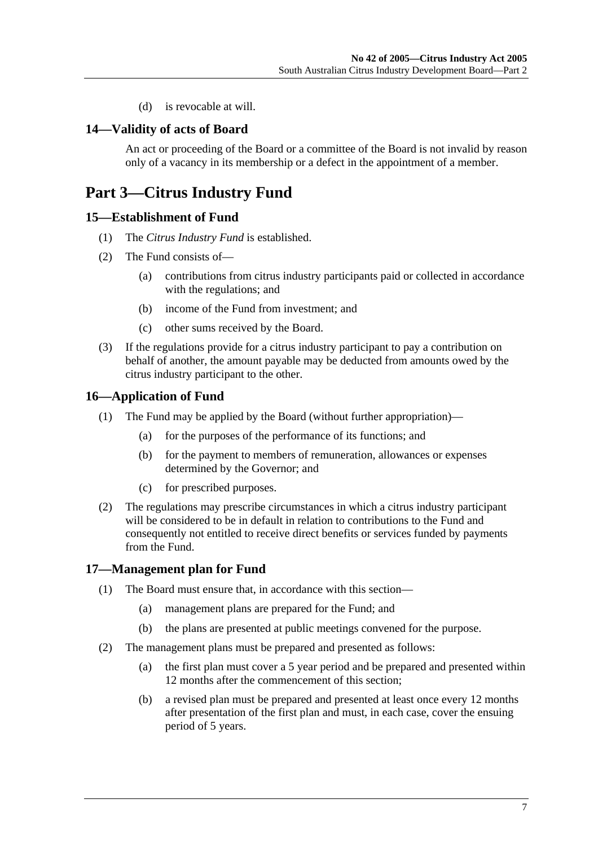(d) is revocable at will.

#### **14—Validity of acts of Board**

An act or proceeding of the Board or a committee of the Board is not invalid by reason only of a vacancy in its membership or a defect in the appointment of a member.

## **Part 3—Citrus Industry Fund**

#### **15—Establishment of Fund**

- (1) The *Citrus Industry Fund* is established.
- (2) The Fund consists of—
	- (a) contributions from citrus industry participants paid or collected in accordance with the regulations; and
	- (b) income of the Fund from investment; and
	- (c) other sums received by the Board.
- (3) If the regulations provide for a citrus industry participant to pay a contribution on behalf of another, the amount payable may be deducted from amounts owed by the citrus industry participant to the other.

#### **16—Application of Fund**

- (1) The Fund may be applied by the Board (without further appropriation)—
	- (a) for the purposes of the performance of its functions; and
	- (b) for the payment to members of remuneration, allowances or expenses determined by the Governor; and
	- (c) for prescribed purposes.
- (2) The regulations may prescribe circumstances in which a citrus industry participant will be considered to be in default in relation to contributions to the Fund and consequently not entitled to receive direct benefits or services funded by payments from the Fund.

#### **17—Management plan for Fund**

- (1) The Board must ensure that, in accordance with this section—
	- (a) management plans are prepared for the Fund; and
	- (b) the plans are presented at public meetings convened for the purpose.
- (2) The management plans must be prepared and presented as follows:
	- (a) the first plan must cover a 5 year period and be prepared and presented within 12 months after the commencement of this section;
	- (b) a revised plan must be prepared and presented at least once every 12 months after presentation of the first plan and must, in each case, cover the ensuing period of 5 years.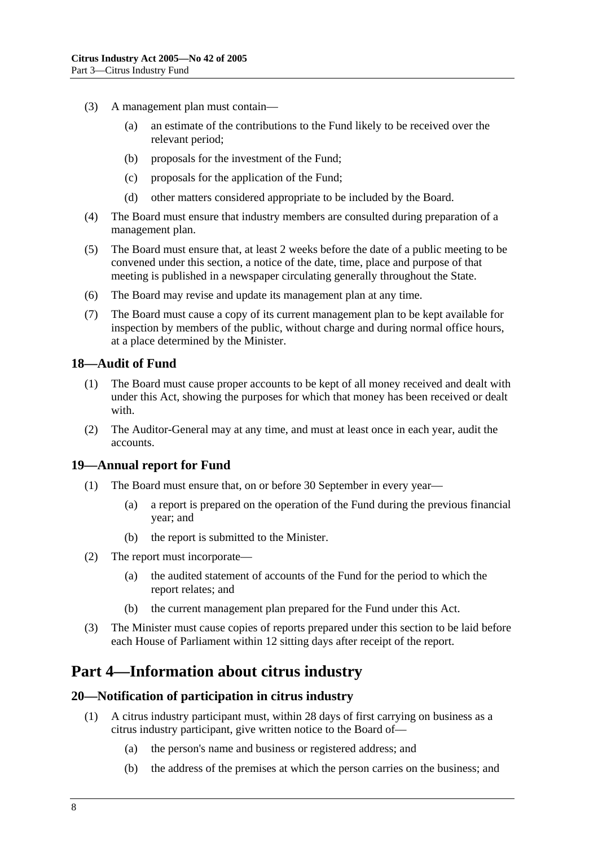- (3) A management plan must contain—
	- (a) an estimate of the contributions to the Fund likely to be received over the relevant period;
	- (b) proposals for the investment of the Fund;
	- (c) proposals for the application of the Fund;
	- (d) other matters considered appropriate to be included by the Board.
- (4) The Board must ensure that industry members are consulted during preparation of a management plan.
- (5) The Board must ensure that, at least 2 weeks before the date of a public meeting to be convened under this section, a notice of the date, time, place and purpose of that meeting is published in a newspaper circulating generally throughout the State.
- (6) The Board may revise and update its management plan at any time.
- (7) The Board must cause a copy of its current management plan to be kept available for inspection by members of the public, without charge and during normal office hours, at a place determined by the Minister.

#### **18—Audit of Fund**

- (1) The Board must cause proper accounts to be kept of all money received and dealt with under this Act, showing the purposes for which that money has been received or dealt with.
- (2) The Auditor-General may at any time, and must at least once in each year, audit the accounts.

#### **19—Annual report for Fund**

- (1) The Board must ensure that, on or before 30 September in every year—
	- (a) a report is prepared on the operation of the Fund during the previous financial year; and
	- (b) the report is submitted to the Minister.
- (2) The report must incorporate—
	- (a) the audited statement of accounts of the Fund for the period to which the report relates; and
	- (b) the current management plan prepared for the Fund under this Act.
- (3) The Minister must cause copies of reports prepared under this section to be laid before each House of Parliament within 12 sitting days after receipt of the report.

## **Part 4—Information about citrus industry**

#### **20—Notification of participation in citrus industry**

- (1) A citrus industry participant must, within 28 days of first carrying on business as a citrus industry participant, give written notice to the Board of—
	- (a) the person's name and business or registered address; and
	- (b) the address of the premises at which the person carries on the business; and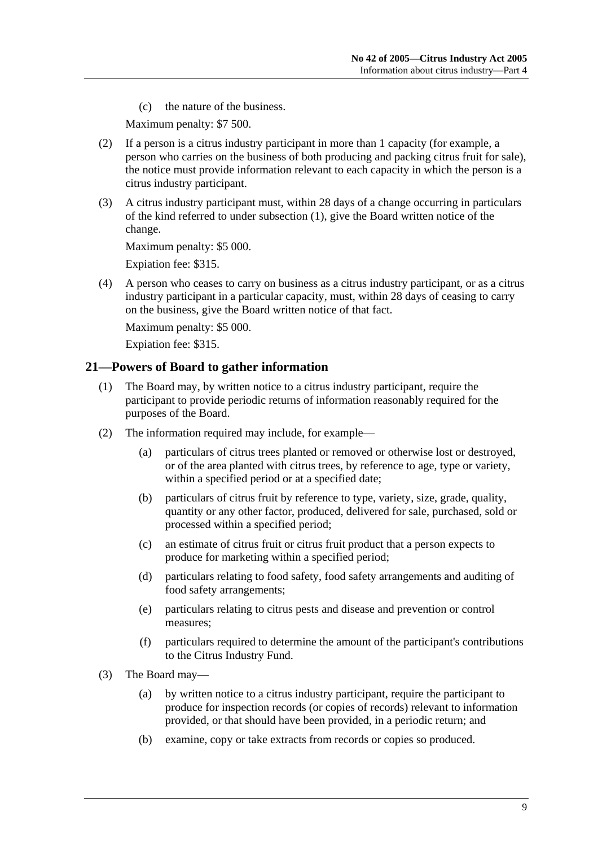(c) the nature of the business.

Maximum penalty: \$7 500.

- (2) If a person is a citrus industry participant in more than 1 capacity (for example, a person who carries on the business of both producing and packing citrus fruit for sale), the notice must provide information relevant to each capacity in which the person is a citrus industry participant.
- (3) A citrus industry participant must, within 28 days of a change occurring in particulars of the kind referred to under subsection (1), give the Board written notice of the change.

Maximum penalty: \$5 000.

Expiation fee: \$315.

 (4) A person who ceases to carry on business as a citrus industry participant, or as a citrus industry participant in a particular capacity, must, within 28 days of ceasing to carry on the business, give the Board written notice of that fact.

Maximum penalty: \$5 000.

Expiation fee: \$315.

#### **21—Powers of Board to gather information**

- (1) The Board may, by written notice to a citrus industry participant, require the participant to provide periodic returns of information reasonably required for the purposes of the Board.
- (2) The information required may include, for example—
	- (a) particulars of citrus trees planted or removed or otherwise lost or destroyed, or of the area planted with citrus trees, by reference to age, type or variety, within a specified period or at a specified date;
	- (b) particulars of citrus fruit by reference to type, variety, size, grade, quality, quantity or any other factor, produced, delivered for sale, purchased, sold or processed within a specified period;
	- (c) an estimate of citrus fruit or citrus fruit product that a person expects to produce for marketing within a specified period;
	- (d) particulars relating to food safety, food safety arrangements and auditing of food safety arrangements;
	- (e) particulars relating to citrus pests and disease and prevention or control measures;
	- (f) particulars required to determine the amount of the participant's contributions to the Citrus Industry Fund.
- (3) The Board may—
	- (a) by written notice to a citrus industry participant, require the participant to produce for inspection records (or copies of records) relevant to information provided, or that should have been provided, in a periodic return; and
	- (b) examine, copy or take extracts from records or copies so produced.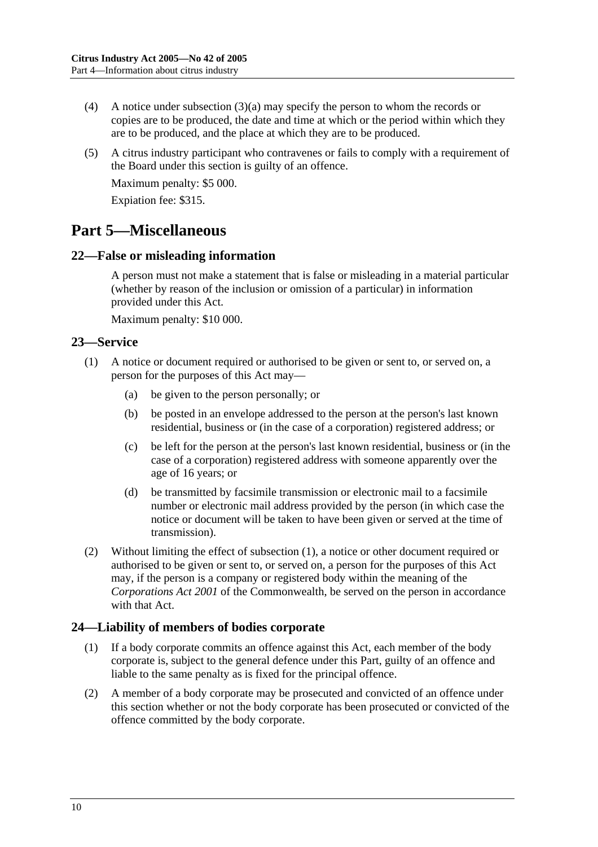- (4) A notice under subsection (3)(a) may specify the person to whom the records or copies are to be produced, the date and time at which or the period within which they are to be produced, and the place at which they are to be produced.
- (5) A citrus industry participant who contravenes or fails to comply with a requirement of the Board under this section is guilty of an offence.

Maximum penalty: \$5 000.

Expiation fee: \$315.

## **Part 5—Miscellaneous**

## **22—False or misleading information**

A person must not make a statement that is false or misleading in a material particular (whether by reason of the inclusion or omission of a particular) in information provided under this Act.

Maximum penalty: \$10 000.

## **23—Service**

- (1) A notice or document required or authorised to be given or sent to, or served on, a person for the purposes of this Act may—
	- (a) be given to the person personally; or
	- (b) be posted in an envelope addressed to the person at the person's last known residential, business or (in the case of a corporation) registered address; or
	- (c) be left for the person at the person's last known residential, business or (in the case of a corporation) registered address with someone apparently over the age of 16 years; or
	- (d) be transmitted by facsimile transmission or electronic mail to a facsimile number or electronic mail address provided by the person (in which case the notice or document will be taken to have been given or served at the time of transmission).
- (2) Without limiting the effect of subsection (1), a notice or other document required or authorised to be given or sent to, or served on, a person for the purposes of this Act may, if the person is a company or registered body within the meaning of the *Corporations Act 2001* of the Commonwealth, be served on the person in accordance with that Act.

## **24—Liability of members of bodies corporate**

- (1) If a body corporate commits an offence against this Act, each member of the body corporate is, subject to the general defence under this Part, guilty of an offence and liable to the same penalty as is fixed for the principal offence.
- (2) A member of a body corporate may be prosecuted and convicted of an offence under this section whether or not the body corporate has been prosecuted or convicted of the offence committed by the body corporate.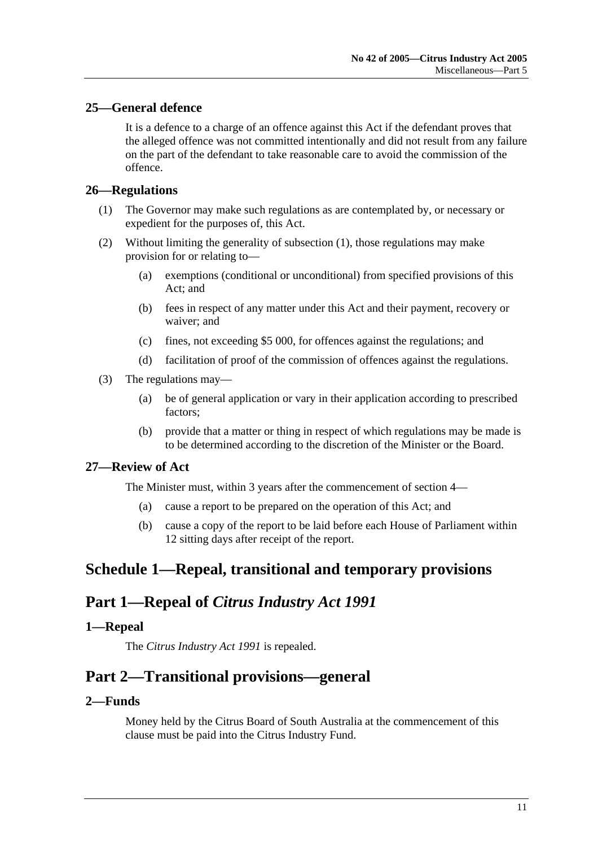## **25—General defence**

It is a defence to a charge of an offence against this Act if the defendant proves that the alleged offence was not committed intentionally and did not result from any failure on the part of the defendant to take reasonable care to avoid the commission of the offence.

## **26—Regulations**

- (1) The Governor may make such regulations as are contemplated by, or necessary or expedient for the purposes of, this Act.
- (2) Without limiting the generality of subsection (1), those regulations may make provision for or relating to—
	- (a) exemptions (conditional or unconditional) from specified provisions of this Act; and
	- (b) fees in respect of any matter under this Act and their payment, recovery or waiver; and
	- (c) fines, not exceeding \$5 000, for offences against the regulations; and
	- (d) facilitation of proof of the commission of offences against the regulations.
- (3) The regulations may—
	- (a) be of general application or vary in their application according to prescribed factors;
	- (b) provide that a matter or thing in respect of which regulations may be made is to be determined according to the discretion of the Minister or the Board.

#### **27—Review of Act**

The Minister must, within 3 years after the commencement of section 4—

- (a) cause a report to be prepared on the operation of this Act; and
- (b) cause a copy of the report to be laid before each House of Parliament within 12 sitting days after receipt of the report.

## **Schedule 1—Repeal, transitional and temporary provisions**

## **Part 1—Repeal of** *Citrus Industry Act 1991*

## **1—Repeal**

The *Citrus Industry Act 1991* is repealed.

## **Part 2—Transitional provisions—general**

## **2—Funds**

Money held by the Citrus Board of South Australia at the commencement of this clause must be paid into the Citrus Industry Fund.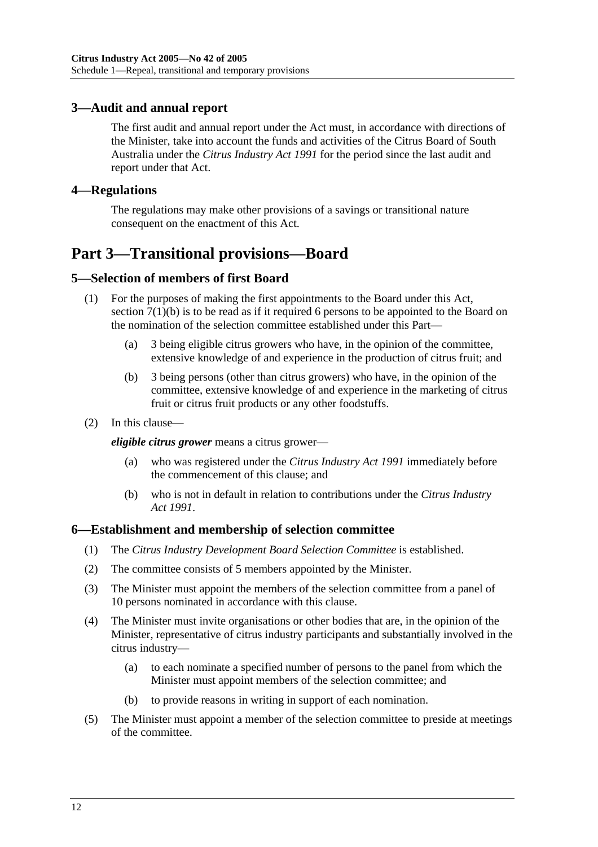## **3—Audit and annual report**

The first audit and annual report under the Act must, in accordance with directions of the Minister, take into account the funds and activities of the Citrus Board of South Australia under the *Citrus Industry Act 1991* for the period since the last audit and report under that Act.

## **4—Regulations**

The regulations may make other provisions of a savings or transitional nature consequent on the enactment of this Act.

## **Part 3—Transitional provisions—Board**

## **5—Selection of members of first Board**

- (1) For the purposes of making the first appointments to the Board under this Act, section 7(1)(b) is to be read as if it required 6 persons to be appointed to the Board on the nomination of the selection committee established under this Part—
	- (a) 3 being eligible citrus growers who have, in the opinion of the committee, extensive knowledge of and experience in the production of citrus fruit; and
	- (b) 3 being persons (other than citrus growers) who have, in the opinion of the committee, extensive knowledge of and experience in the marketing of citrus fruit or citrus fruit products or any other foodstuffs.
- (2) In this clause—

*eligible citrus grower* means a citrus grower—

- (a) who was registered under the *Citrus Industry Act 1991* immediately before the commencement of this clause; and
- (b) who is not in default in relation to contributions under the *Citrus Industry Act 1991*.

#### **6—Establishment and membership of selection committee**

- (1) The *Citrus Industry Development Board Selection Committee* is established.
- (2) The committee consists of 5 members appointed by the Minister.
- (3) The Minister must appoint the members of the selection committee from a panel of 10 persons nominated in accordance with this clause.
- (4) The Minister must invite organisations or other bodies that are, in the opinion of the Minister, representative of citrus industry participants and substantially involved in the citrus industry—
	- (a) to each nominate a specified number of persons to the panel from which the Minister must appoint members of the selection committee; and
	- (b) to provide reasons in writing in support of each nomination.
- (5) The Minister must appoint a member of the selection committee to preside at meetings of the committee.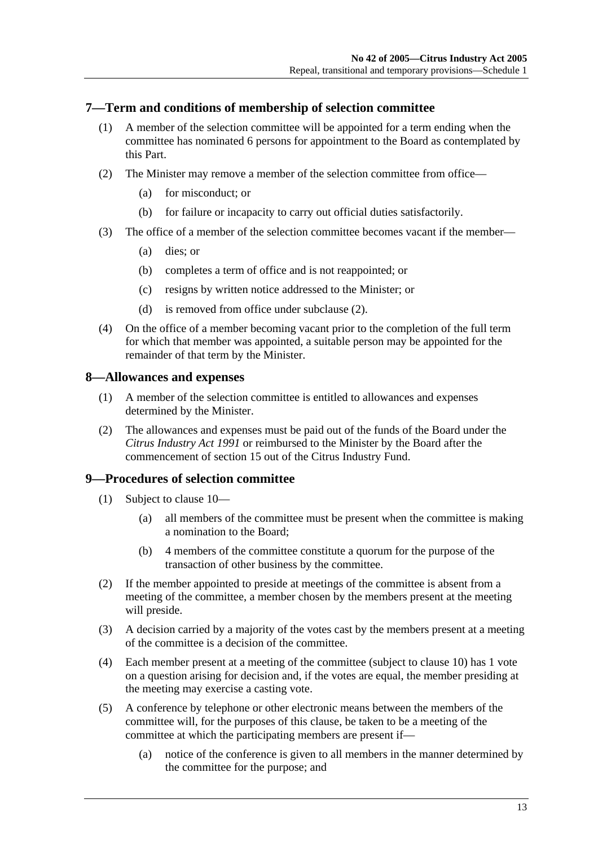## **7—Term and conditions of membership of selection committee**

- (1) A member of the selection committee will be appointed for a term ending when the committee has nominated 6 persons for appointment to the Board as contemplated by this Part.
- (2) The Minister may remove a member of the selection committee from office—
	- (a) for misconduct; or
	- (b) for failure or incapacity to carry out official duties satisfactorily.
- (3) The office of a member of the selection committee becomes vacant if the member—
	- (a) dies; or
	- (b) completes a term of office and is not reappointed; or
	- (c) resigns by written notice addressed to the Minister; or
	- (d) is removed from office under subclause (2).
- (4) On the office of a member becoming vacant prior to the completion of the full term for which that member was appointed, a suitable person may be appointed for the remainder of that term by the Minister.

## **8—Allowances and expenses**

- (1) A member of the selection committee is entitled to allowances and expenses determined by the Minister.
- (2) The allowances and expenses must be paid out of the funds of the Board under the *Citrus Industry Act 1991* or reimbursed to the Minister by the Board after the commencement of section 15 out of the Citrus Industry Fund.

## **9—Procedures of selection committee**

- (1) Subject to clause 10—
	- (a) all members of the committee must be present when the committee is making a nomination to the Board;
	- (b) 4 members of the committee constitute a quorum for the purpose of the transaction of other business by the committee.
- (2) If the member appointed to preside at meetings of the committee is absent from a meeting of the committee, a member chosen by the members present at the meeting will preside.
- (3) A decision carried by a majority of the votes cast by the members present at a meeting of the committee is a decision of the committee.
- (4) Each member present at a meeting of the committee (subject to clause 10) has 1 vote on a question arising for decision and, if the votes are equal, the member presiding at the meeting may exercise a casting vote.
- (5) A conference by telephone or other electronic means between the members of the committee will, for the purposes of this clause, be taken to be a meeting of the committee at which the participating members are present if—
	- (a) notice of the conference is given to all members in the manner determined by the committee for the purpose; and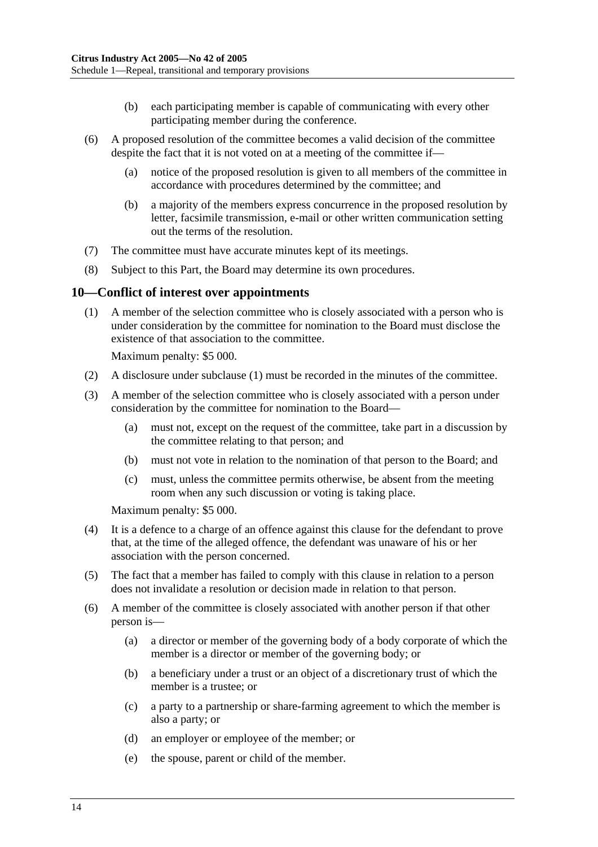- (b) each participating member is capable of communicating with every other participating member during the conference.
- (6) A proposed resolution of the committee becomes a valid decision of the committee despite the fact that it is not voted on at a meeting of the committee if—
	- (a) notice of the proposed resolution is given to all members of the committee in accordance with procedures determined by the committee; and
	- (b) a majority of the members express concurrence in the proposed resolution by letter, facsimile transmission, e-mail or other written communication setting out the terms of the resolution.
- (7) The committee must have accurate minutes kept of its meetings.
- (8) Subject to this Part, the Board may determine its own procedures.

#### **10—Conflict of interest over appointments**

 (1) A member of the selection committee who is closely associated with a person who is under consideration by the committee for nomination to the Board must disclose the existence of that association to the committee.

Maximum penalty: \$5 000.

- (2) A disclosure under subclause (1) must be recorded in the minutes of the committee.
- (3) A member of the selection committee who is closely associated with a person under consideration by the committee for nomination to the Board—
	- (a) must not, except on the request of the committee, take part in a discussion by the committee relating to that person; and
	- (b) must not vote in relation to the nomination of that person to the Board; and
	- (c) must, unless the committee permits otherwise, be absent from the meeting room when any such discussion or voting is taking place.

Maximum penalty: \$5 000.

- (4) It is a defence to a charge of an offence against this clause for the defendant to prove that, at the time of the alleged offence, the defendant was unaware of his or her association with the person concerned.
- (5) The fact that a member has failed to comply with this clause in relation to a person does not invalidate a resolution or decision made in relation to that person.
- (6) A member of the committee is closely associated with another person if that other person is—
	- (a) a director or member of the governing body of a body corporate of which the member is a director or member of the governing body; or
	- (b) a beneficiary under a trust or an object of a discretionary trust of which the member is a trustee; or
	- (c) a party to a partnership or share-farming agreement to which the member is also a party; or
	- (d) an employer or employee of the member; or
	- (e) the spouse, parent or child of the member.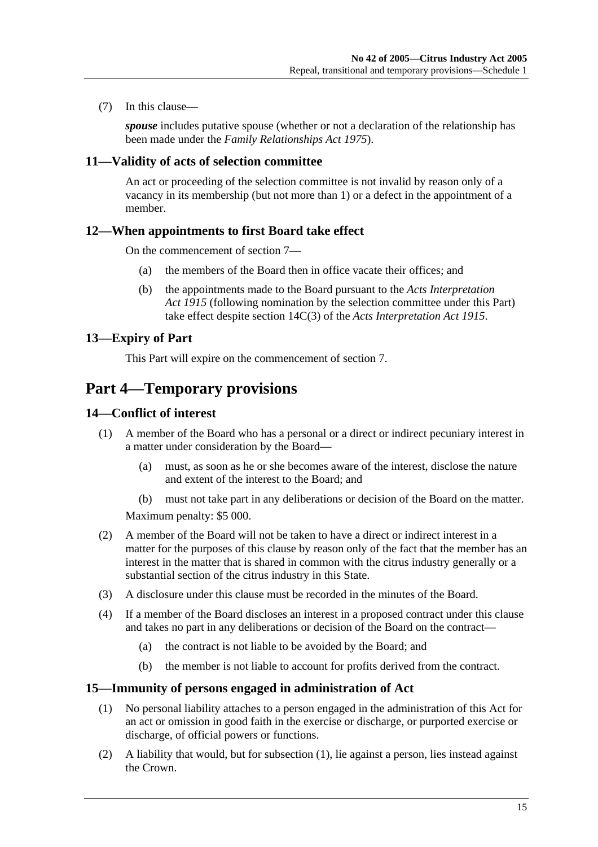(7) In this clause—

*spouse* includes putative spouse (whether or not a declaration of the relationship has been made under the *Family Relationships Act 1975*).

#### **11—Validity of acts of selection committee**

An act or proceeding of the selection committee is not invalid by reason only of a vacancy in its membership (but not more than 1) or a defect in the appointment of a member.

#### **12—When appointments to first Board take effect**

On the commencement of section 7—

- (a) the members of the Board then in office vacate their offices; and
- (b) the appointments made to the Board pursuant to the *Acts Interpretation Act 1915* (following nomination by the selection committee under this Part) take effect despite section 14C(3) of the *Acts Interpretation Act 1915*.

## **13—Expiry of Part**

This Part will expire on the commencement of section 7.

## **Part 4—Temporary provisions**

## **14—Conflict of interest**

- (1) A member of the Board who has a personal or a direct or indirect pecuniary interest in a matter under consideration by the Board—
	- (a) must, as soon as he or she becomes aware of the interest, disclose the nature and extent of the interest to the Board; and
	- (b) must not take part in any deliberations or decision of the Board on the matter.

Maximum penalty: \$5 000.

- (2) A member of the Board will not be taken to have a direct or indirect interest in a matter for the purposes of this clause by reason only of the fact that the member has an interest in the matter that is shared in common with the citrus industry generally or a substantial section of the citrus industry in this State.
- (3) A disclosure under this clause must be recorded in the minutes of the Board.
- (4) If a member of the Board discloses an interest in a proposed contract under this clause and takes no part in any deliberations or decision of the Board on the contract—
	- (a) the contract is not liable to be avoided by the Board; and
	- (b) the member is not liable to account for profits derived from the contract.

#### **15—Immunity of persons engaged in administration of Act**

- (1) No personal liability attaches to a person engaged in the administration of this Act for an act or omission in good faith in the exercise or discharge, or purported exercise or discharge, of official powers or functions.
- (2) A liability that would, but for subsection (1), lie against a person, lies instead against the Crown.